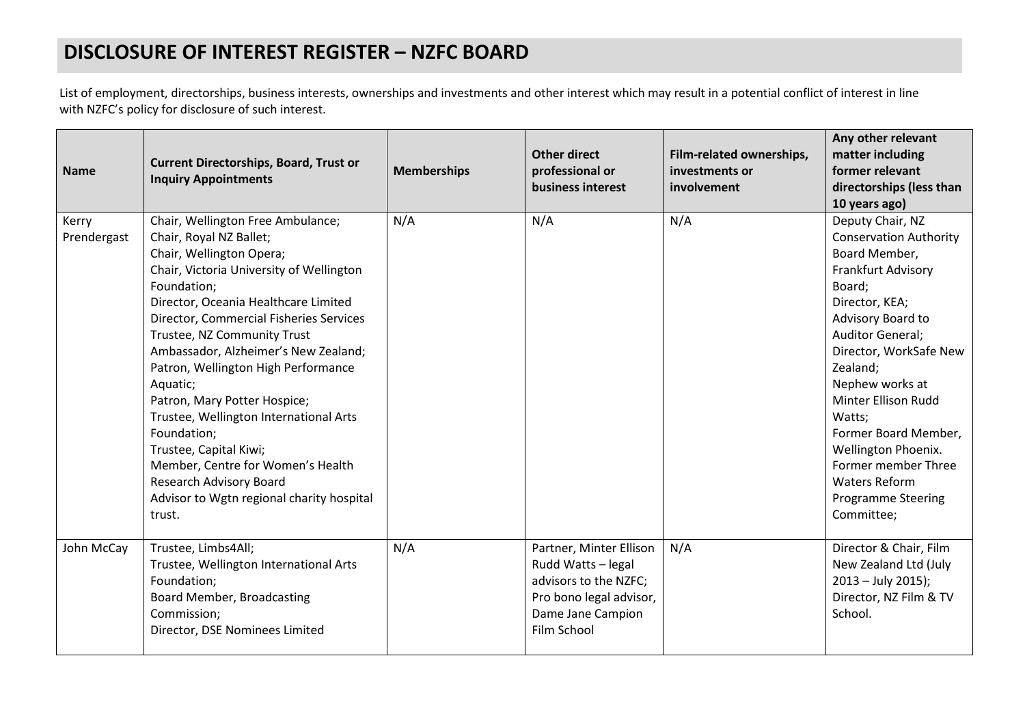## **DISCLOSURE OF INTEREST REGISTER – NZFC BOARD**

List of employment, directorships, business interests, ownerships and investments and other interest which may result in a potential conflict of interest in line with NZFC's policy for disclosure of such interest.

| <b>Name</b>          | <b>Current Directorships, Board, Trust or</b><br><b>Inquiry Appointments</b>                                                                                                                                                                                                                                                                                                                                                                                                                                                                                                                                      | <b>Memberships</b> | <b>Other direct</b><br>professional or<br>business interest                                                                           | Film-related ownerships,<br>investments or<br>involvement | Any other relevant<br>matter including<br>former relevant<br>directorships (less than<br>10 years ago)                                                                                                                                                                                                                                                                                           |
|----------------------|-------------------------------------------------------------------------------------------------------------------------------------------------------------------------------------------------------------------------------------------------------------------------------------------------------------------------------------------------------------------------------------------------------------------------------------------------------------------------------------------------------------------------------------------------------------------------------------------------------------------|--------------------|---------------------------------------------------------------------------------------------------------------------------------------|-----------------------------------------------------------|--------------------------------------------------------------------------------------------------------------------------------------------------------------------------------------------------------------------------------------------------------------------------------------------------------------------------------------------------------------------------------------------------|
| Kerry<br>Prendergast | Chair, Wellington Free Ambulance;<br>Chair, Royal NZ Ballet;<br>Chair, Wellington Opera;<br>Chair, Victoria University of Wellington<br>Foundation;<br>Director, Oceania Healthcare Limited<br>Director, Commercial Fisheries Services<br>Trustee, NZ Community Trust<br>Ambassador, Alzheimer's New Zealand;<br>Patron, Wellington High Performance<br>Aquatic;<br>Patron, Mary Potter Hospice;<br>Trustee, Wellington International Arts<br>Foundation;<br>Trustee, Capital Kiwi;<br>Member, Centre for Women's Health<br><b>Research Advisory Board</b><br>Advisor to Wgtn regional charity hospital<br>trust. | N/A                | N/A                                                                                                                                   | N/A                                                       | Deputy Chair, NZ<br><b>Conservation Authority</b><br>Board Member,<br>Frankfurt Advisory<br>Board;<br>Director, KEA;<br>Advisory Board to<br>Auditor General;<br>Director, WorkSafe New<br>Zealand;<br>Nephew works at<br>Minter Ellison Rudd<br>Watts;<br>Former Board Member,<br>Wellington Phoenix.<br>Former member Three<br><b>Waters Reform</b><br><b>Programme Steering</b><br>Committee; |
| John McCay           | Trustee, Limbs4All;<br>Trustee, Wellington International Arts<br>Foundation;<br>Board Member, Broadcasting<br>Commission;<br>Director, DSE Nominees Limited                                                                                                                                                                                                                                                                                                                                                                                                                                                       | N/A                | Partner, Minter Ellison<br>Rudd Watts - legal<br>advisors to the NZFC;<br>Pro bono legal advisor,<br>Dame Jane Campion<br>Film School | N/A                                                       | Director & Chair, Film<br>New Zealand Ltd (July<br>$2013 - July 2015$ ;<br>Director, NZ Film & TV<br>School.                                                                                                                                                                                                                                                                                     |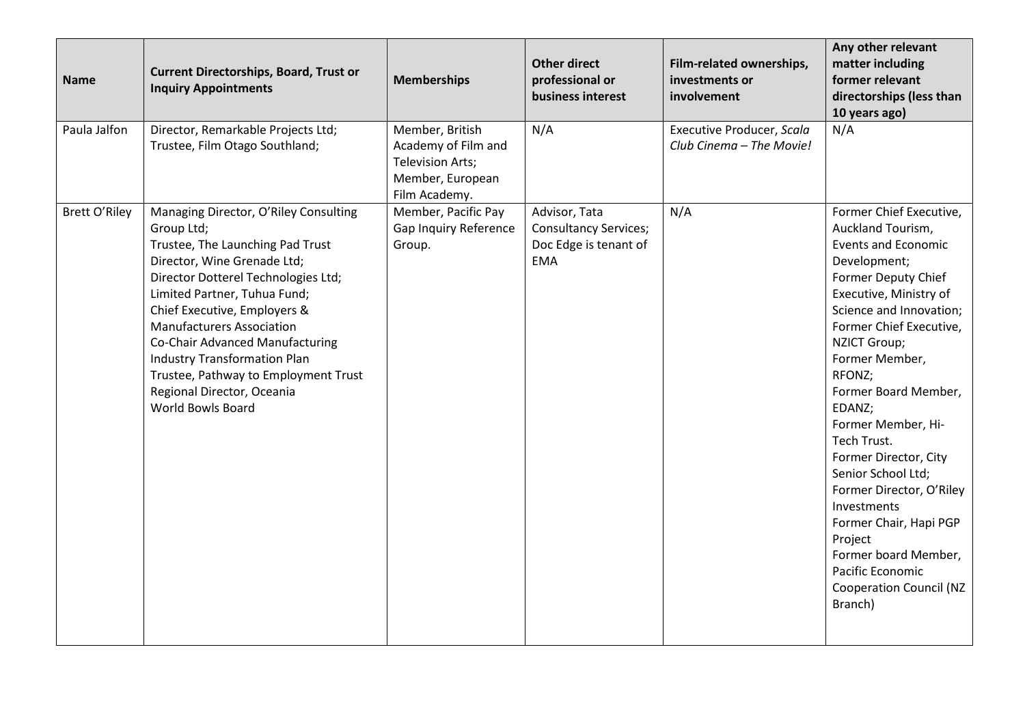| <b>Name</b>          | <b>Current Directorships, Board, Trust or</b><br><b>Inquiry Appointments</b>                                                                                                                                                                                                                                                                                                                                                                  | <b>Memberships</b>                                                                                     | <b>Other direct</b><br>professional or<br>business interest                          | Film-related ownerships,<br>investments or<br>involvement | Any other relevant<br>matter including<br>former relevant<br>directorships (less than<br>10 years ago)                                                                                                                                                                                                                                                                                                                                                                                                                                                     |
|----------------------|-----------------------------------------------------------------------------------------------------------------------------------------------------------------------------------------------------------------------------------------------------------------------------------------------------------------------------------------------------------------------------------------------------------------------------------------------|--------------------------------------------------------------------------------------------------------|--------------------------------------------------------------------------------------|-----------------------------------------------------------|------------------------------------------------------------------------------------------------------------------------------------------------------------------------------------------------------------------------------------------------------------------------------------------------------------------------------------------------------------------------------------------------------------------------------------------------------------------------------------------------------------------------------------------------------------|
| Paula Jalfon         | Director, Remarkable Projects Ltd;<br>Trustee, Film Otago Southland;                                                                                                                                                                                                                                                                                                                                                                          | Member, British<br>Academy of Film and<br><b>Television Arts;</b><br>Member, European<br>Film Academy. | N/A                                                                                  | Executive Producer, Scala<br>Club Cinema - The Movie!     | N/A                                                                                                                                                                                                                                                                                                                                                                                                                                                                                                                                                        |
| <b>Brett O'Riley</b> | Managing Director, O'Riley Consulting<br>Group Ltd;<br>Trustee, The Launching Pad Trust<br>Director, Wine Grenade Ltd;<br>Director Dotterel Technologies Ltd;<br>Limited Partner, Tuhua Fund;<br>Chief Executive, Employers &<br><b>Manufacturers Association</b><br>Co-Chair Advanced Manufacturing<br><b>Industry Transformation Plan</b><br>Trustee, Pathway to Employment Trust<br>Regional Director, Oceania<br><b>World Bowls Board</b> | Member, Pacific Pay<br>Gap Inquiry Reference<br>Group.                                                 | Advisor, Tata<br><b>Consultancy Services;</b><br>Doc Edge is tenant of<br><b>EMA</b> | N/A                                                       | Former Chief Executive,<br>Auckland Tourism,<br><b>Events and Economic</b><br>Development;<br><b>Former Deputy Chief</b><br>Executive, Ministry of<br>Science and Innovation;<br>Former Chief Executive,<br><b>NZICT Group;</b><br>Former Member,<br>RFONZ;<br>Former Board Member,<br>EDANZ;<br>Former Member, Hi-<br>Tech Trust.<br>Former Director, City<br>Senior School Ltd;<br>Former Director, O'Riley<br>Investments<br>Former Chair, Hapi PGP<br>Project<br>Former board Member,<br>Pacific Economic<br><b>Cooperation Council (NZ</b><br>Branch) |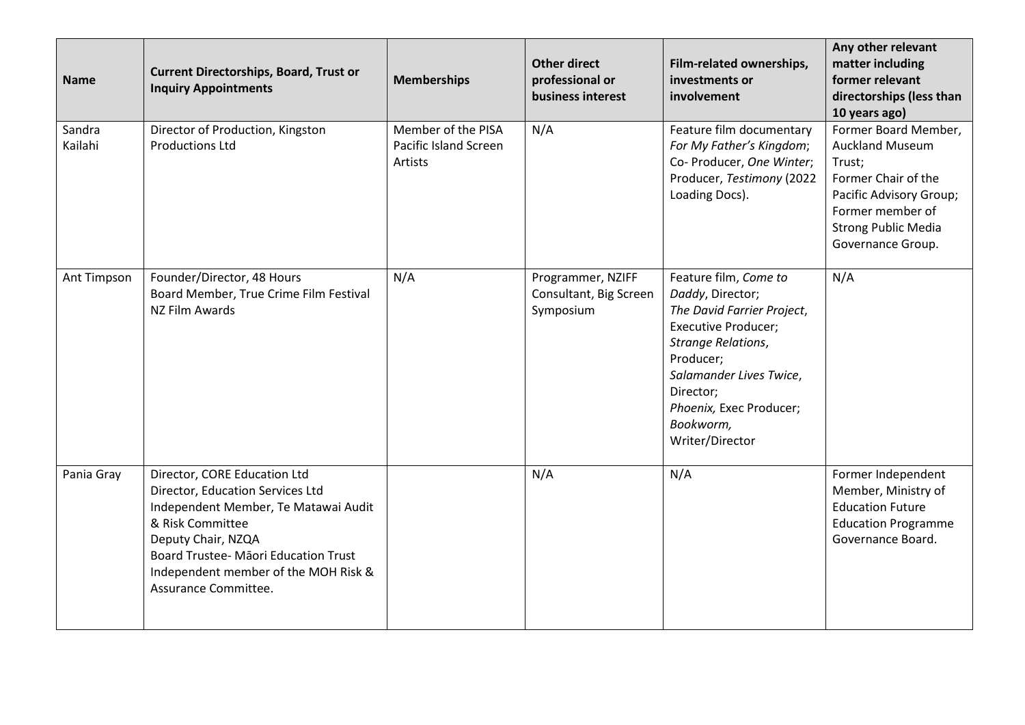| <b>Name</b>       | <b>Current Directorships, Board, Trust or</b><br><b>Inquiry Appointments</b>                                                                                                                                                                               | <b>Memberships</b>                                     | <b>Other direct</b><br>professional or<br>business interest | Film-related ownerships,<br>investments or<br>involvement                                                                                                                                                                                   | Any other relevant<br>matter including<br>former relevant<br>directorships (less than<br>10 years ago)                                                                            |
|-------------------|------------------------------------------------------------------------------------------------------------------------------------------------------------------------------------------------------------------------------------------------------------|--------------------------------------------------------|-------------------------------------------------------------|---------------------------------------------------------------------------------------------------------------------------------------------------------------------------------------------------------------------------------------------|-----------------------------------------------------------------------------------------------------------------------------------------------------------------------------------|
| Sandra<br>Kailahi | Director of Production, Kingston<br><b>Productions Ltd</b>                                                                                                                                                                                                 | Member of the PISA<br>Pacific Island Screen<br>Artists | N/A                                                         | Feature film documentary<br>For My Father's Kingdom;<br>Co- Producer, One Winter;<br>Producer, Testimony (2022<br>Loading Docs).                                                                                                            | Former Board Member,<br><b>Auckland Museum</b><br>Trust;<br>Former Chair of the<br>Pacific Advisory Group;<br>Former member of<br><b>Strong Public Media</b><br>Governance Group. |
| Ant Timpson       | Founder/Director, 48 Hours<br>Board Member, True Crime Film Festival<br>NZ Film Awards                                                                                                                                                                     | N/A                                                    | Programmer, NZIFF<br>Consultant, Big Screen<br>Symposium    | Feature film, Come to<br>Daddy, Director;<br>The David Farrier Project,<br><b>Executive Producer;</b><br>Strange Relations,<br>Producer;<br>Salamander Lives Twice,<br>Director;<br>Phoenix, Exec Producer;<br>Bookworm,<br>Writer/Director | N/A                                                                                                                                                                               |
| Pania Gray        | Director, CORE Education Ltd<br>Director, Education Services Ltd<br>Independent Member, Te Matawai Audit<br>& Risk Committee<br>Deputy Chair, NZQA<br>Board Trustee- Māori Education Trust<br>Independent member of the MOH Risk &<br>Assurance Committee. |                                                        | N/A                                                         | N/A                                                                                                                                                                                                                                         | Former Independent<br>Member, Ministry of<br><b>Education Future</b><br><b>Education Programme</b><br>Governance Board.                                                           |